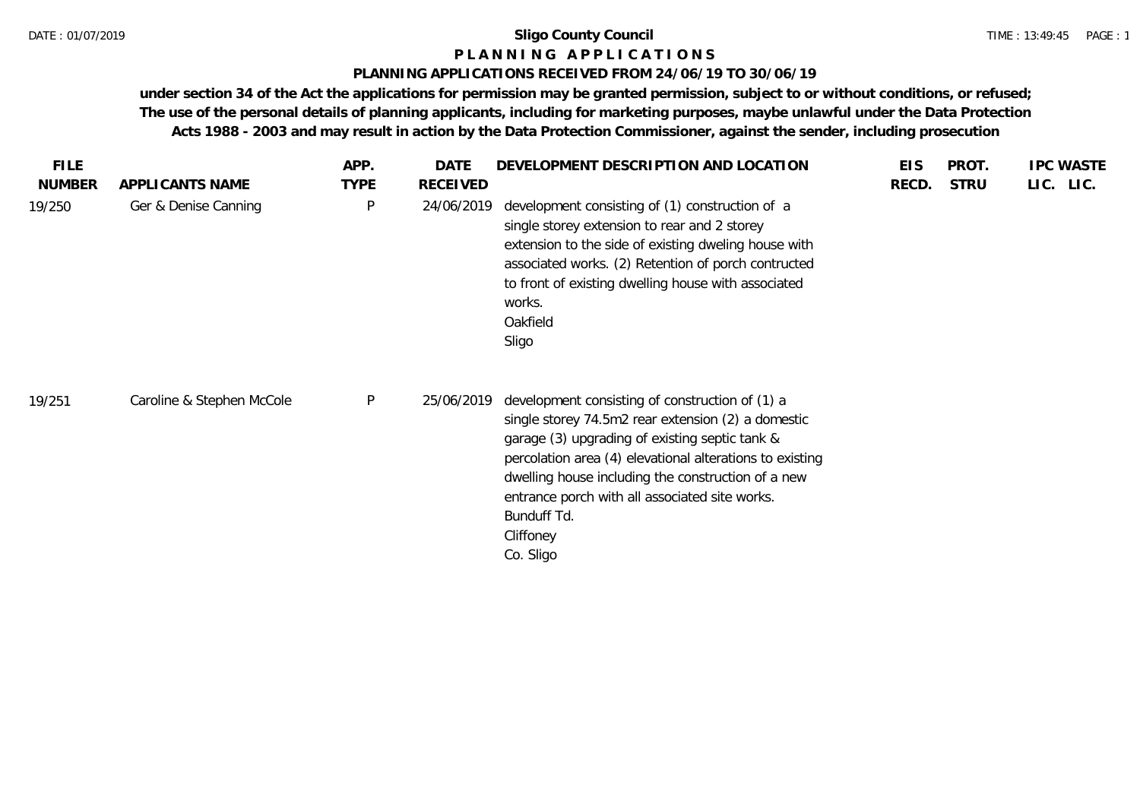## **P L A N N I N G A P P L I C A T I O N S**

## **PLANNING APPLICATIONS RECEIVED FROM 24/06/19 TO 30/06/19**

**under section 34 of the Act the applications for permission may be granted permission, subject to or without conditions, or refused; The use of the personal details of planning applicants, including for marketing purposes, maybe unlawful under the Data Protection Acts 1988 - 2003 and may result in action by the Data Protection Commissioner, against the sender, including prosecution**

| <b>FILE</b>   |                           | APP.         | DATE            | DEVELOPMENT DESCRIPTION AND LOCATION                                                                                                                                                                                                                                                                                                                                 | <b>EIS</b> | PROT.       | <b>IPC WASTE</b> |
|---------------|---------------------------|--------------|-----------------|----------------------------------------------------------------------------------------------------------------------------------------------------------------------------------------------------------------------------------------------------------------------------------------------------------------------------------------------------------------------|------------|-------------|------------------|
| <b>NUMBER</b> | APPLICANTS NAME           | <b>TYPE</b>  | <b>RECEIVED</b> |                                                                                                                                                                                                                                                                                                                                                                      | RECD.      | <b>STRU</b> | LIC. LIC.        |
| 19/250        | Ger & Denise Canning      | P            | 24/06/2019      | development consisting of (1) construction of a<br>single storey extension to rear and 2 storey<br>extension to the side of existing dweling house with<br>associated works. (2) Retention of porch contructed<br>to front of existing dwelling house with associated<br>works.<br>Oakfield<br>Sligo                                                                 |            |             |                  |
| 19/251        | Caroline & Stephen McCole | $\mathsf{P}$ | 25/06/2019      | development consisting of construction of (1) a<br>single storey 74.5m2 rear extension (2) a domestic<br>garage (3) upgrading of existing septic tank &<br>percolation area (4) elevational alterations to existing<br>dwelling house including the construction of a new<br>entrance porch with all associated site works.<br>Bunduff Td.<br>Cliffoney<br>Co. Sligo |            |             |                  |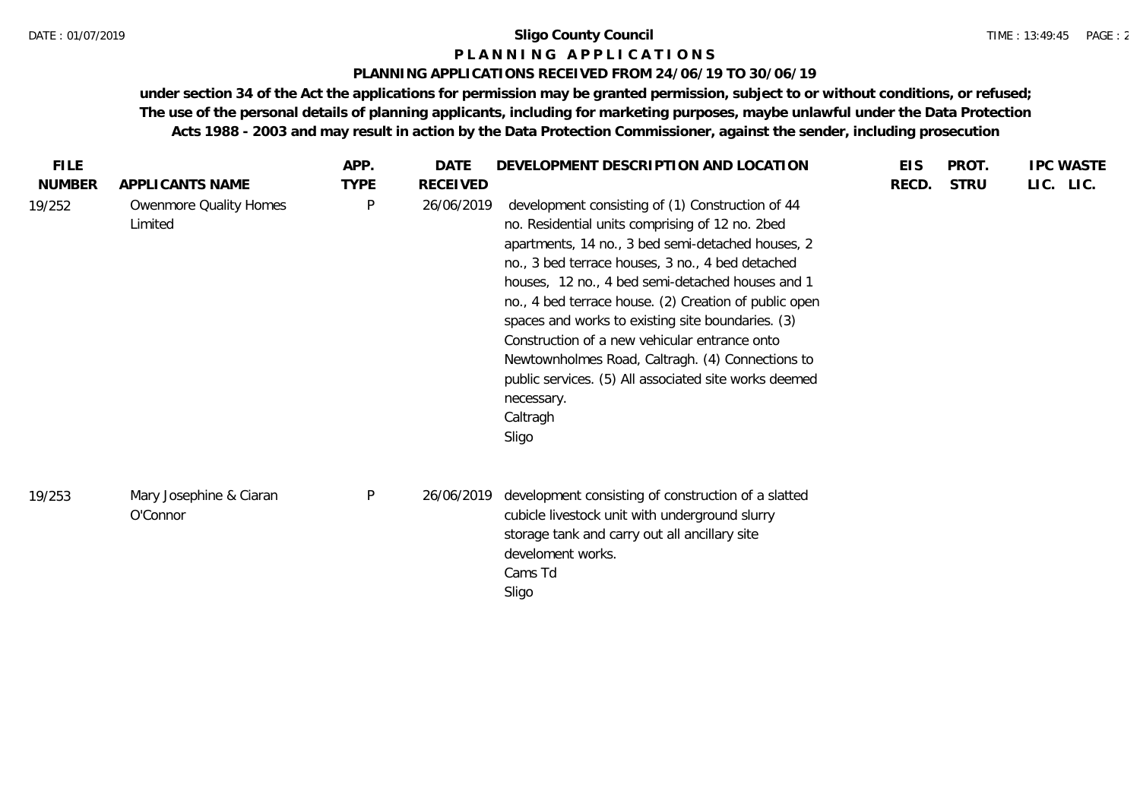#### TIME : 13:49:45 PAGE : 2

## **P L A N N I N G A P P L I C A T I O N S**

#### **PLANNING APPLICATIONS RECEIVED FROM 24/06/19 TO 30/06/19**

**under section 34 of the Act the applications for permission may be granted permission, subject to or without conditions, or refused; The use of the personal details of planning applicants, including for marketing purposes, maybe unlawful under the Data Protection Acts 1988 - 2003 and may result in action by the Data Protection Commissioner, against the sender, including prosecution**

| <b>FILE</b>   |                                     | APP.         | DATE       | DEVELOPMENT DESCRIPTION AND LOCATION                                                                                                                                                                                                                                                                                                                                                                                                                                                                                                                                            | <b>EIS</b> | PROT.       | <b>IPC WASTE</b> |
|---------------|-------------------------------------|--------------|------------|---------------------------------------------------------------------------------------------------------------------------------------------------------------------------------------------------------------------------------------------------------------------------------------------------------------------------------------------------------------------------------------------------------------------------------------------------------------------------------------------------------------------------------------------------------------------------------|------------|-------------|------------------|
| <b>NUMBER</b> | APPLICANTS NAME                     | <b>TYPE</b>  | RECEIVED   |                                                                                                                                                                                                                                                                                                                                                                                                                                                                                                                                                                                 | RECD.      | <b>STRU</b> | LIC. LIC.        |
| 19/252        | Owenmore Quality Homes<br>Limited   | $\mathsf{P}$ | 26/06/2019 | development consisting of (1) Construction of 44<br>no. Residential units comprising of 12 no. 2bed<br>apartments, 14 no., 3 bed semi-detached houses, 2<br>no., 3 bed terrace houses, 3 no., 4 bed detached<br>houses, 12 no., 4 bed semi-detached houses and 1<br>no., 4 bed terrace house. (2) Creation of public open<br>spaces and works to existing site boundaries. (3)<br>Construction of a new vehicular entrance onto<br>Newtownholmes Road, Caltragh. (4) Connections to<br>public services. (5) All associated site works deemed<br>necessary.<br>Caltragh<br>Sligo |            |             |                  |
| 19/253        | Mary Josephine & Ciaran<br>O'Connor | $\mathsf{P}$ | 26/06/2019 | development consisting of construction of a slatted<br>cubicle livestock unit with underground slurry<br>storage tank and carry out all ancillary site<br>develoment works.<br>Cams Td<br>Sligo                                                                                                                                                                                                                                                                                                                                                                                 |            |             |                  |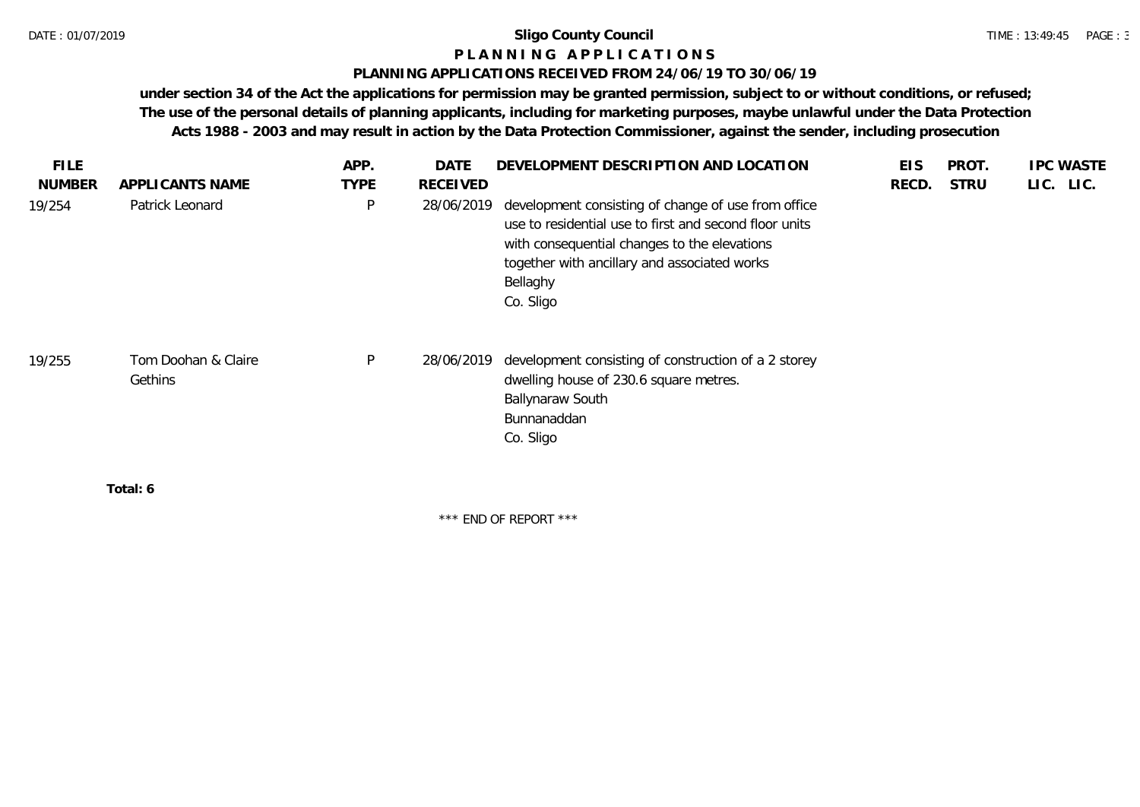## **P L A N N I N G A P P L I C A T I O N S**

## **PLANNING APPLICATIONS RECEIVED FROM 24/06/19 TO 30/06/19**

**under section 34 of the Act the applications for permission may be granted permission, subject to or without conditions, or refused; The use of the personal details of planning applicants, including for marketing purposes, maybe unlawful under the Data Protection Acts 1988 - 2003 and may result in action by the Data Protection Commissioner, against the sender, including prosecution**

| <b>FILE</b><br><b>NUMBER</b> | APPLICANTS NAME                | APP.<br><b>TYPE</b> | <b>DATE</b><br><b>RECEIVED</b> | DEVELOPMENT DESCRIPTION AND LOCATION                                                                                                                                                                                                   | <b>EIS</b><br>RECD. | PROT.<br><b>STRU</b> | <b>IPC WASTE</b><br>LIC. LIC. |
|------------------------------|--------------------------------|---------------------|--------------------------------|----------------------------------------------------------------------------------------------------------------------------------------------------------------------------------------------------------------------------------------|---------------------|----------------------|-------------------------------|
| 19/254                       | Patrick Leonard                | P                   | 28/06/2019                     | development consisting of change of use from office<br>use to residential use to first and second floor units<br>with consequential changes to the elevations<br>together with ancillary and associated works<br>Bellaghy<br>Co. Sligo |                     |                      |                               |
| 19/255                       | Tom Doohan & Claire<br>Gethins | P                   | 28/06/2019                     | development consisting of construction of a 2 storey<br>dwelling house of 230.6 square metres.<br><b>Ballynaraw South</b><br>Bunnanaddan<br>Co. Sligo                                                                                  |                     |                      |                               |
|                              | Total: 6                       |                     |                                |                                                                                                                                                                                                                                        |                     |                      |                               |

\*\*\* END OF REPORT \*\*\*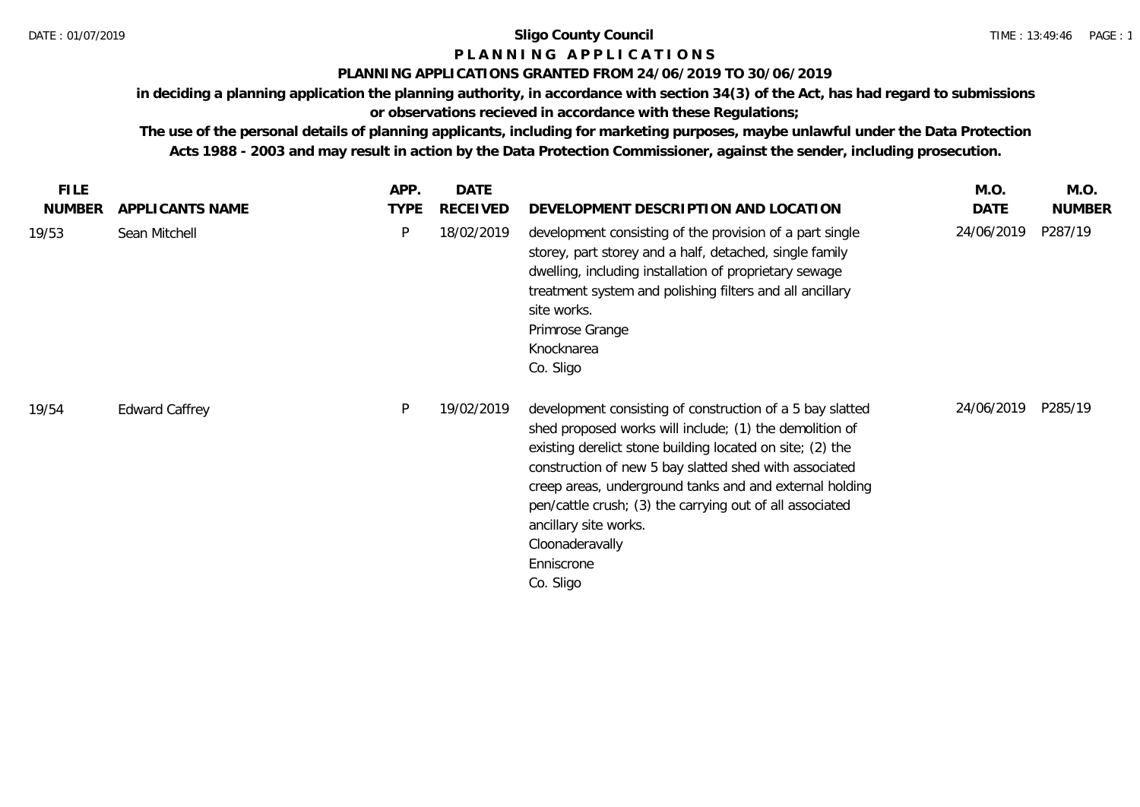# **P L A N N I N G A P P L I C A T I O N S**

## **PLANNING APPLICATIONS GRANTED FROM 24/06/2019 TO 30/06/2019**

**in deciding a planning application the planning authority, in accordance with section 34(3) of the Act, has had regard to submissions** 

## **or observations recieved in accordance with these Regulations;**

**The use of the personal details of planning applicants, including for marketing purposes, maybe unlawful under the Data Protection Acts 1988 - 2003 and may result in action by the Data Protection Commissioner, against the sender, including prosecution.**

| <b>FILE</b>   |                       | APP.        | <b>DATE</b> |                                                                                                                                                                                                                                                                                                                                                                                                                                           | M.O.        | M.O.          |
|---------------|-----------------------|-------------|-------------|-------------------------------------------------------------------------------------------------------------------------------------------------------------------------------------------------------------------------------------------------------------------------------------------------------------------------------------------------------------------------------------------------------------------------------------------|-------------|---------------|
| <b>NUMBER</b> | APPLICANTS NAME       | <b>TYPE</b> | RECEIVED    | DEVELOPMENT DESCRIPTION AND LOCATION                                                                                                                                                                                                                                                                                                                                                                                                      | <b>DATE</b> | <b>NUMBER</b> |
| 19/53         | Sean Mitchell         | P           | 18/02/2019  | development consisting of the provision of a part single<br>storey, part storey and a half, detached, single family<br>dwelling, including installation of proprietary sewage<br>treatment system and polishing filters and all ancillary<br>site works.<br>Primrose Grange<br>Knocknarea<br>Co. Sligo                                                                                                                                    | 24/06/2019  | P287/19       |
| 19/54         | <b>Edward Caffrey</b> | P           | 19/02/2019  | development consisting of construction of a 5 bay slatted<br>shed proposed works will include; (1) the demolition of<br>existing derelict stone building located on site; (2) the<br>construction of new 5 bay slatted shed with associated<br>creep areas, underground tanks and and external holding<br>pen/cattle crush; (3) the carrying out of all associated<br>ancillary site works.<br>Cloonaderavally<br>Enniscrone<br>Co. Sligo | 24/06/2019  | P285/19       |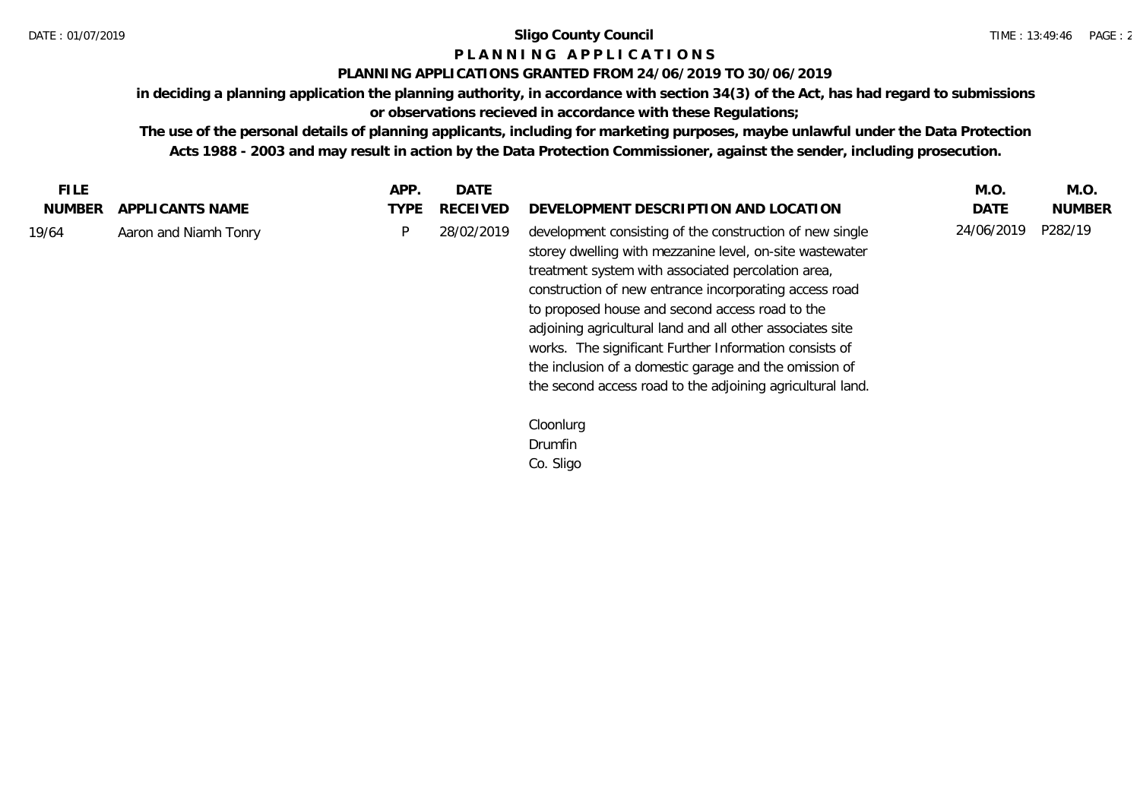## **P L A N N I N G A P P L I C A T I O N S**

## **PLANNING APPLICATIONS GRANTED FROM 24/06/2019 TO 30/06/2019**

**in deciding a planning application the planning authority, in accordance with section 34(3) of the Act, has had regard to submissions or observations recieved in accordance with these Regulations;**

**The use of the personal details of planning applicants, including for marketing purposes, maybe unlawful under the Data Protection Acts 1988 - 2003 and may result in action by the Data Protection Commissioner, against the sender, including prosecution.**

| <b>FILE</b>   |                       | APP. | <b>DATE</b>     |                                                                                                                                                                                                                                                                                                                                                                                                                                                                                                                                        | M.O.       | M.O.          |
|---------------|-----------------------|------|-----------------|----------------------------------------------------------------------------------------------------------------------------------------------------------------------------------------------------------------------------------------------------------------------------------------------------------------------------------------------------------------------------------------------------------------------------------------------------------------------------------------------------------------------------------------|------------|---------------|
| <b>NUMBER</b> | APPLICANTS NAME       | TYPE | <b>RECEIVED</b> | DEVELOPMENT DESCRIPTION AND LOCATION                                                                                                                                                                                                                                                                                                                                                                                                                                                                                                   | DATE       | <b>NUMBER</b> |
| 19/64         | Aaron and Niamh Tonry | P    | 28/02/2019      | development consisting of the construction of new single<br>storey dwelling with mezzanine level, on-site wastewater<br>treatment system with associated percolation area,<br>construction of new entrance incorporating access road<br>to proposed house and second access road to the<br>adjoining agricultural land and all other associates site<br>works. The significant Further Information consists of<br>the inclusion of a domestic garage and the omission of<br>the second access road to the adjoining agricultural land. | 24/06/2019 | P282/19       |
|               |                       |      |                 | Cloonlurg                                                                                                                                                                                                                                                                                                                                                                                                                                                                                                                              |            |               |
|               |                       |      |                 | Drumfin                                                                                                                                                                                                                                                                                                                                                                                                                                                                                                                                |            |               |
|               |                       |      |                 | Co. Sligo                                                                                                                                                                                                                                                                                                                                                                                                                                                                                                                              |            |               |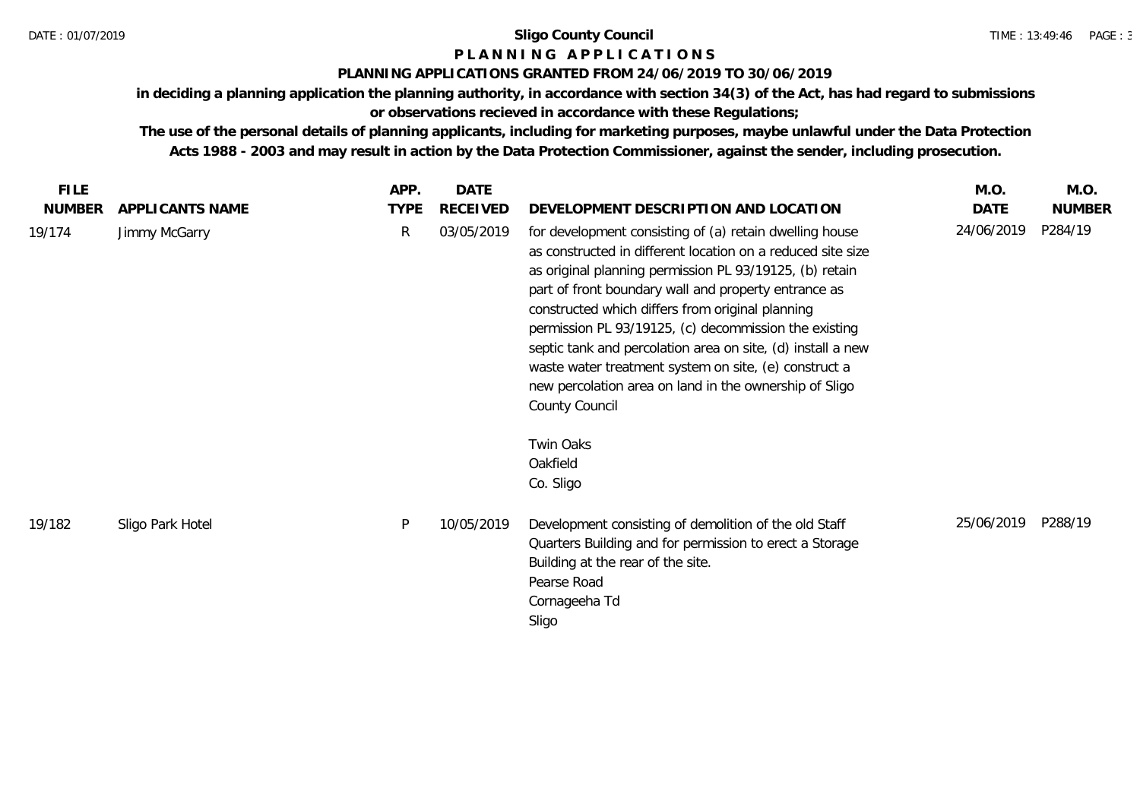## **P L A N N I N G A P P L I C A T I O N S**

## **PLANNING APPLICATIONS GRANTED FROM 24/06/2019 TO 30/06/2019**

**in deciding a planning application the planning authority, in accordance with section 34(3) of the Act, has had regard to submissions** 

**or observations recieved in accordance with these Regulations;**

**The use of the personal details of planning applicants, including for marketing purposes, maybe unlawful under the Data Protection Acts 1988 - 2003 and may result in action by the Data Protection Commissioner, against the sender, including prosecution.**

| <b>FILE</b>   |                  | APP.        | <b>DATE</b>     |                                                                                                                                                                                                                                                                                                                                                                                                                                                                                                                                                            | M.O.        | M.O.          |
|---------------|------------------|-------------|-----------------|------------------------------------------------------------------------------------------------------------------------------------------------------------------------------------------------------------------------------------------------------------------------------------------------------------------------------------------------------------------------------------------------------------------------------------------------------------------------------------------------------------------------------------------------------------|-------------|---------------|
| <b>NUMBER</b> | APPLICANTS NAME  | <b>TYPE</b> | <b>RECEIVED</b> | DEVELOPMENT DESCRIPTION AND LOCATION                                                                                                                                                                                                                                                                                                                                                                                                                                                                                                                       | <b>DATE</b> | <b>NUMBER</b> |
| 19/174        | Jimmy McGarry    | R           | 03/05/2019      | for development consisting of (a) retain dwelling house<br>as constructed in different location on a reduced site size<br>as original planning permission PL 93/19125, (b) retain<br>part of front boundary wall and property entrance as<br>constructed which differs from original planning<br>permission PL 93/19125, (c) decommission the existing<br>septic tank and percolation area on site, (d) install a new<br>waste water treatment system on site, (e) construct a<br>new percolation area on land in the ownership of Sligo<br>County Council | 24/06/2019  | P284/19       |
|               |                  |             |                 | Twin Oaks<br>Oakfield<br>Co. Sligo                                                                                                                                                                                                                                                                                                                                                                                                                                                                                                                         |             |               |
| 19/182        | Sligo Park Hotel | P           | 10/05/2019      | Development consisting of demolition of the old Staff<br>Quarters Building and for permission to erect a Storage<br>Building at the rear of the site.<br>Pearse Road<br>Cornageeha Td<br>Sligo                                                                                                                                                                                                                                                                                                                                                             | 25/06/2019  | P288/19       |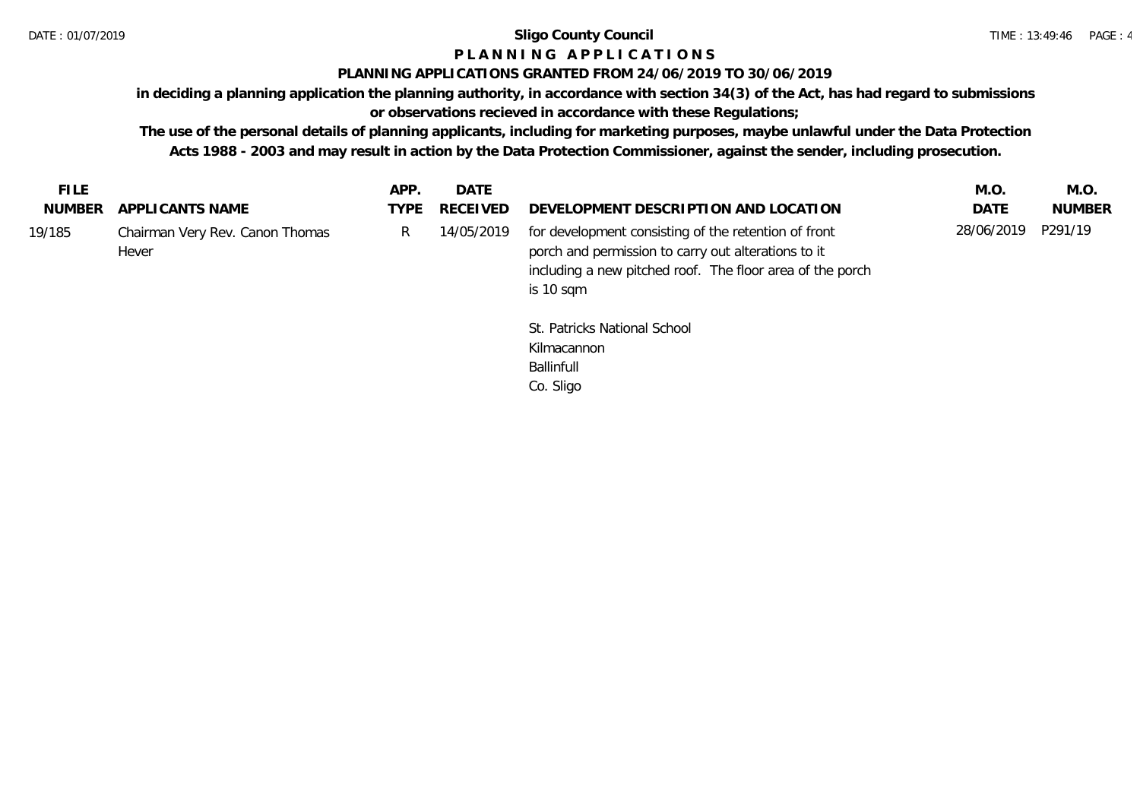## **P L A N N I N G A P P L I C A T I O N S**

## **PLANNING APPLICATIONS GRANTED FROM 24/06/2019 TO 30/06/2019**

**in deciding a planning application the planning authority, in accordance with section 34(3) of the Act, has had regard to submissions** 

**or observations recieved in accordance with these Regulations;**

**The use of the personal details of planning applicants, including for marketing purposes, maybe unlawful under the Data Protection Acts 1988 - 2003 and may result in action by the Data Protection Commissioner, against the sender, including prosecution.**

| NUMBER APPLICANTS NAME<br>DEVELOPMENT DESCRIPTION AND LOCATION<br><b>NUMBER</b><br>TYPE RECEIVED<br><b>DATE</b><br>28/06/2019 P291/19<br>for development consisting of the retention of front<br>Chairman Very Rev. Canon Thomas<br>14/05/2019<br>R.<br>porch and permission to carry out alterations to it<br>Hever<br>including a new pitched roof. The floor area of the porch<br>is 10 sqm | <b>FILE</b> | APP. | DATE | M.O. | M.O. |
|------------------------------------------------------------------------------------------------------------------------------------------------------------------------------------------------------------------------------------------------------------------------------------------------------------------------------------------------------------------------------------------------|-------------|------|------|------|------|
| 19/185                                                                                                                                                                                                                                                                                                                                                                                         |             |      |      |      |      |
|                                                                                                                                                                                                                                                                                                                                                                                                |             |      |      |      |      |

St. Patricks National School Kilmacannon Ballinfull Co. Sligo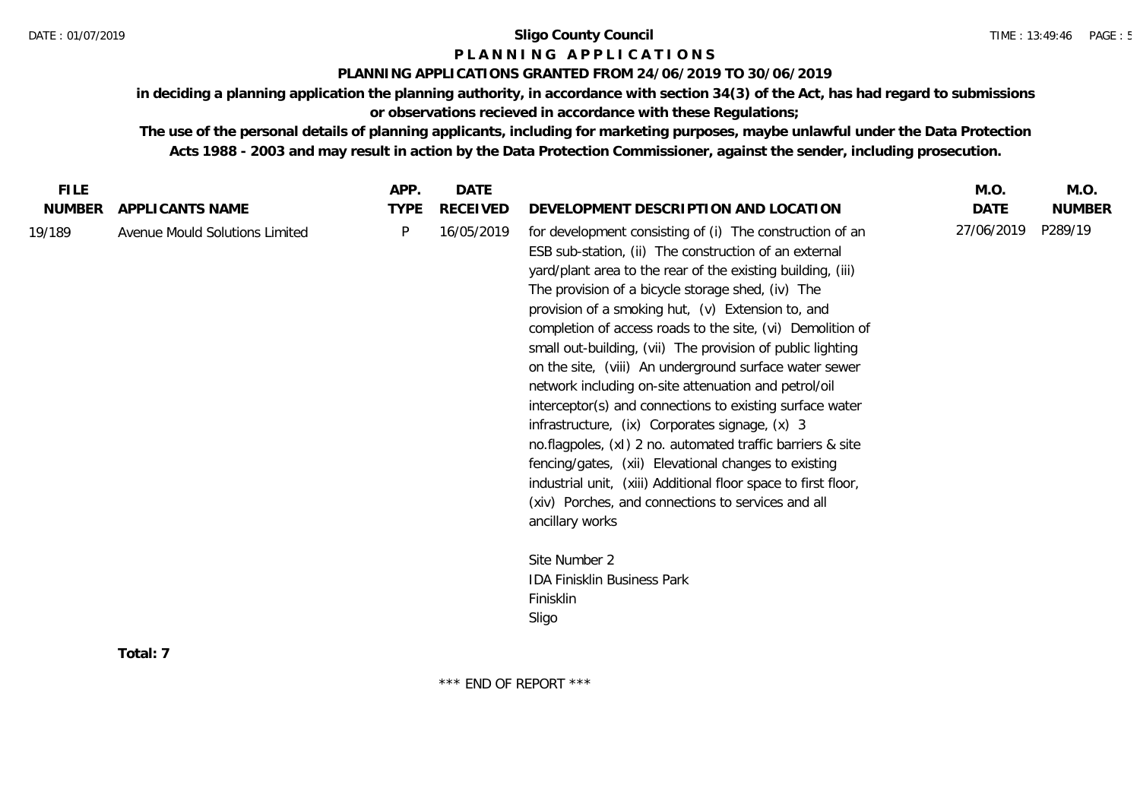## **P L A N N I N G A P P L I C A T I O N S**

## **PLANNING APPLICATIONS GRANTED FROM 24/06/2019 TO 30/06/2019**

**in deciding a planning application the planning authority, in accordance with section 34(3) of the Act, has had regard to submissions or observations recieved in accordance with these Regulations;**

**The use of the personal details of planning applicants, including for marketing purposes, maybe unlawful under the Data Protection Acts 1988 - 2003 and may result in action by the Data Protection Commissioner, against the sender, including prosecution.**

| <b>NUMBER</b><br><b>TYPE</b><br>RECEIVED<br>DATE<br>APPLICANTS NAME<br>DEVELOPMENT DESCRIPTION AND LOCATION<br>27/06/2019<br>P<br>16/05/2019<br>for development consisting of (i) The construction of an<br>19/189<br>Avenue Mould Solutions Limited<br>ESB sub-station, (ii) The construction of an external<br>yard/plant area to the rear of the existing building, (iii)                                                                                                                                                                                                                                                                                                                                                                                | <b>FILE</b> | APP. | DATE |                                                   | M.O. | M.O.          |
|-------------------------------------------------------------------------------------------------------------------------------------------------------------------------------------------------------------------------------------------------------------------------------------------------------------------------------------------------------------------------------------------------------------------------------------------------------------------------------------------------------------------------------------------------------------------------------------------------------------------------------------------------------------------------------------------------------------------------------------------------------------|-------------|------|------|---------------------------------------------------|------|---------------|
|                                                                                                                                                                                                                                                                                                                                                                                                                                                                                                                                                                                                                                                                                                                                                             |             |      |      |                                                   |      | <b>NUMBER</b> |
| provision of a smoking hut, (v) Extension to, and<br>completion of access roads to the site, (vi) Demolition of<br>small out-building, (vii) The provision of public lighting<br>on the site, (viii) An underground surface water sewer<br>network including on-site attenuation and petrol/oil<br>interceptor(s) and connections to existing surface water<br>infrastructure, (ix) Corporates signage, (x) 3<br>no.flagpoles, (xI) 2 no. automated traffic barriers & site<br>fencing/gates, (xii) Elevational changes to existing<br>industrial unit, (xiii) Additional floor space to first floor,<br>(xiv) Porches, and connections to services and all<br>ancillary works<br>Site Number 2<br><b>IDA Finisklin Business Park</b><br>Finisklin<br>Sligo |             |      |      | The provision of a bicycle storage shed, (iv) The |      | P289/19       |
| Total: 7                                                                                                                                                                                                                                                                                                                                                                                                                                                                                                                                                                                                                                                                                                                                                    |             |      |      |                                                   |      |               |

\*\*\* END OF REPORT \*\*\*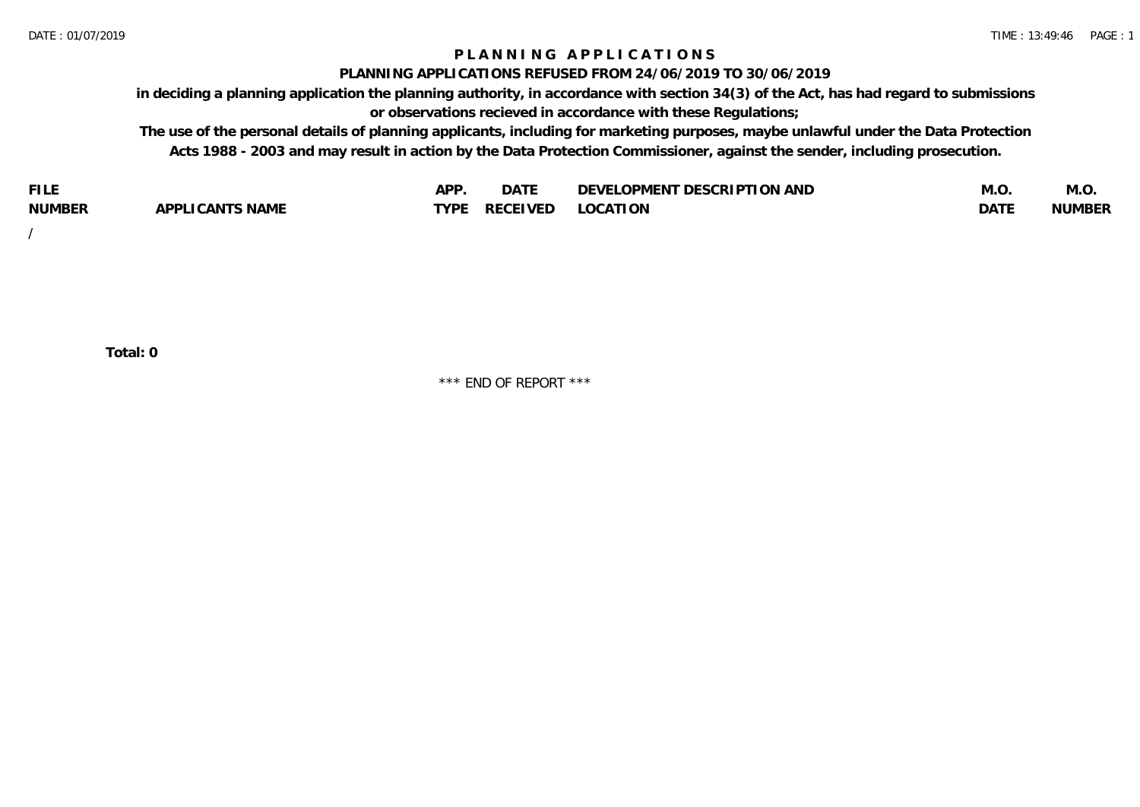## **P L A N N I N G A P P L I C A T I O N S**

#### **PLANNING APPLICATIONS REFUSED FROM 24/06/2019 TO 30/06/2019**

**in deciding a planning application the planning authority, in accordance with section 34(3) of the Act, has had regard to submissions or observations recieved in accordance with these Regulations;**

**The use of the personal details of planning applicants, including for marketing purposes, maybe unlawful under the Data Protection Acts 1988 - 2003 and may result in action by the Data Protection Commissioner, against the sender, including prosecution.**

| <b>FILE</b>   |                                                     | A DE | $\sim$ $\sim$ $\sim$<br>DA I | <b>ENT DESCRIPTION AND</b><br>$\cap$ nn.<br>)E\/F<br>. JIEN L<br>பட | IVI.U       | IVI.U         |
|---------------|-----------------------------------------------------|------|------------------------------|---------------------------------------------------------------------|-------------|---------------|
| <b>NUMBER</b> | <b>ANTS NAME</b><br>A DDI<br>$\sqrt{2}$<br>CAN<br>u | TVDL | ◡⊢                           | <b>OCATION</b>                                                      | <b>DATF</b> | <b>NUMBER</b> |

/

**Total: 0**

\*\*\* END OF REPORT \*\*\*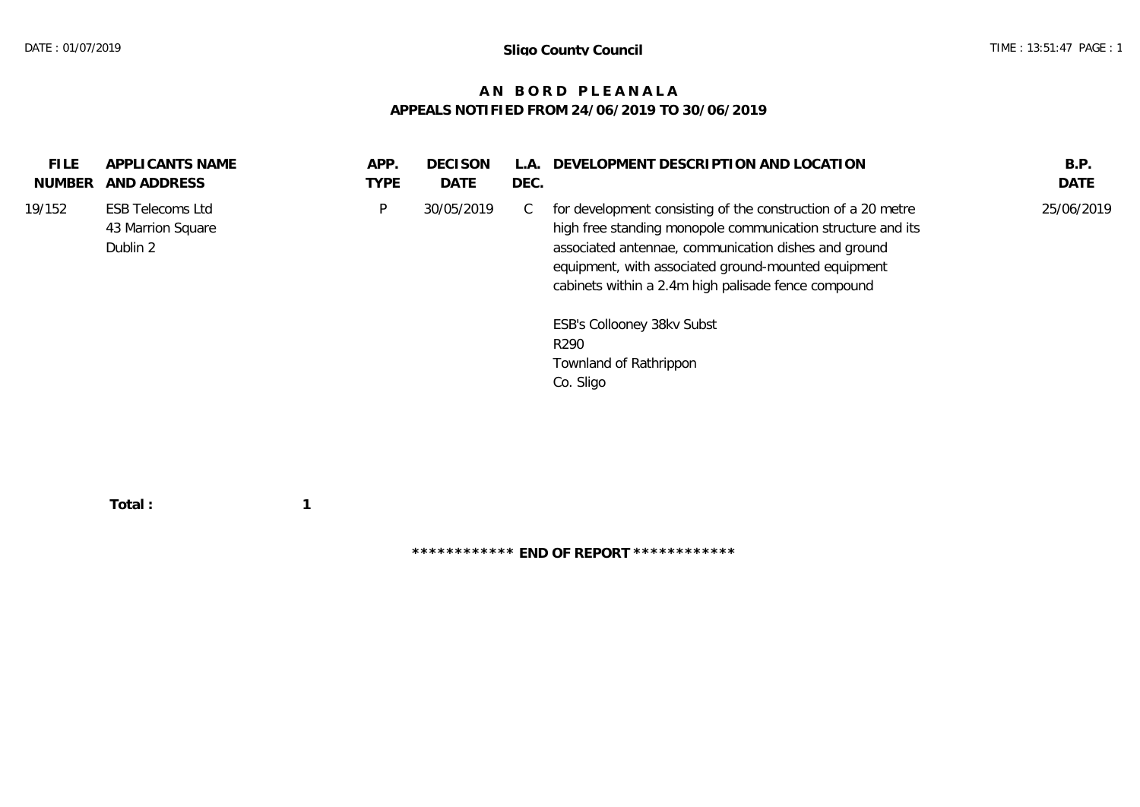## **A N B O R D P L E A N A L A APPEALS NOTIFIED FROM 24/06/2019 TO 30/06/2019**

| <b>FILE</b><br><b>NUMBER</b> | APPLICANTS NAME<br>AND ADDRESS                           | APP.<br><b>TYPE</b> | <b>DECISON</b><br>DATE | L.A.<br>DEC. | DEVELOPMENT DESCRIPTION AND LOCATION                                                                                                                                                                                                                                                                                                                                                       | B.P.<br>DATE |
|------------------------------|----------------------------------------------------------|---------------------|------------------------|--------------|--------------------------------------------------------------------------------------------------------------------------------------------------------------------------------------------------------------------------------------------------------------------------------------------------------------------------------------------------------------------------------------------|--------------|
| 19/152                       | <b>ESB Telecoms Ltd</b><br>43 Marrion Square<br>Dublin 2 | P                   | 30/05/2019             | C            | for development consisting of the construction of a 20 metre<br>high free standing monopole communication structure and its<br>associated antennae, communication dishes and ground<br>equipment, with associated ground-mounted equipment<br>cabinets within a 2.4m high palisade fence compound<br>ESB's Collooney 38kv Subst<br>R <sub>290</sub><br>Townland of Rathrippon<br>Co. Sligo | 25/06/2019   |
|                              |                                                          |                     |                        |              |                                                                                                                                                                                                                                                                                                                                                                                            |              |

 **Total : 1**

**\*\*\*\*\*\*\*\*\*\*\*\* END OF REPORT \*\*\*\*\*\*\*\*\*\*\*\***